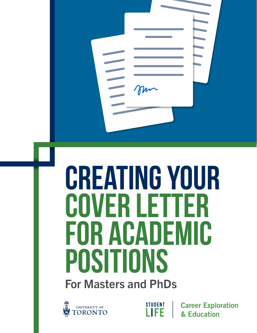# **creating your cover letter for academic positions**

For Masters and PhDs





**Career Exploration** & Education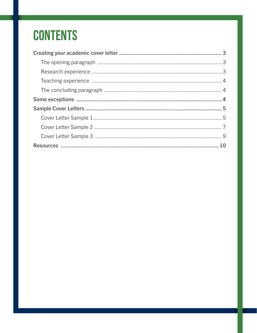### **CONTENTS**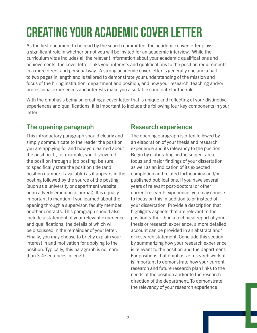## <span id="page-2-0"></span>**Creating your academic cover letter**

As the first document to be read by the search committee, the academic cover letter plays a significant role in whether or not you will be invited for an academic interview. While the curriculum vitae includes all the relevant information about your academic qualifications and achievements, the cover letter links your interests and qualifications to the position requirements in a more direct and personal way. A strong academic cover letter is generally one and a half to two pages in length and is tailored to demonstrate your understanding of the mission and focus of the hiring institution, department and position, and how your research, teaching and/or professional experiences and interests make you a suitable candidate for the role.

With the emphasis being on creating a cover letter that is unique and reflecting of your distinctive experiences and qualifications, it is important to include the following four key components in your letter:

### The opening paragraph

This introductory paragraph should clearly and simply communicate to the reader the position you are applying for and how you learned about the position. If, for example, you discovered the position through a job posting, be sure to specifically state the position title (and position number if available) as it appears in the posting followed by the source of the posting (such as a university or department website or an advertisement in a journal). It is equally important to mention if you learned about the opening through a supervisor, faculty member or other contacts. This paragraph should also include a statement of your relevant experience and qualifications, the details of which will be discussed in the remainder of your letter. Finally, you may choose to briefly explain your interest in and motivation for applying to the position. Typically, this paragraph is no more than 3-4 sentences in length.

#### Research experience

The opening paragraph is often followed by an elaboration of your thesis and research experience and its relevancy to the position. Begin by elaborating on the subject area, focus and major findings of your dissertation as well as an indication of its expected completion and related forthcoming and/or published publications. If you have several years of relevant post-doctoral or other current research experience, you may choose to focus on this in addition to or instead of your dissertation. Provide a description that highlights aspects that are relevant to the position rather than a technical report of your thesis or research experience; a more detailed account can be provided in an abstract and/ or research statement. Conclude this section by summarizing how your research experience is relevant to the position and the department. For positions that emphasize research work, it is important to demonstrate how your current research and future research plan links to the needs of the position and/or to the research direction of the department. To demonstrate the relevancy of your research experience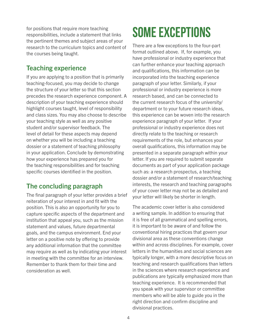<span id="page-3-0"></span>for positions that require more teaching responsibilities, include a statement that links the pertinent themes and subject areas of your research to the curriculum topics and content of the courses being taught.

#### Teaching experience

If you are applying to a position that is primarily teaching-focused, you may decide to change the structure of your letter so that this section precedes the research experience component. A description of your teaching experience should highlight courses taught, level of responsibility and class sizes. You may also choose to describe your teaching style as well as any positive student and/or supervisor feedback. The level of detail for these aspects may depend on whether you will be including a teaching dossier or a statement of teaching philosophy in your application. Conclude by demonstrating how your experience has prepared you for the teaching responsibilities and for teaching specific courses identified in the position.

### The concluding paragraph

The final paragraph of your letter provides a brief reiteration of your interest in and fit with the position. This is also an opportunity for you to capture specific aspects of the department and institution that appeal you, such as the mission statement and values, future departmental goals, and the campus environment. End your letter on a positive note by offering to provide any additional information that the committee may require as well as by indicating your interest in meeting with the committee for an interview. Remember to thank them for their time and consideration as well.

### **Some exceptions**

There are a few exceptions to the four-part format outlined above. If, for example, you have professional or industry experience that can further enhance your teaching approach and qualifications, this information can be incorporated into the teaching experience paragraph of your letter. Similarly, if your professional or industry experience is more research based, and can be connected to the current research focus of the university/ department or to your future research ideas, this experience can be woven into the research experience paragraph of your letter. If your professional or industry experience does not directly relate to the teaching or research requirements of the role, but enhances your overall qualifications, this information may be presented in a separate paragraph within your letter. If you are required to submit separate documents as part of your application package such as: a research prospectus, a teaching dossier and/or a statement of research/teaching interests, the research and teaching paragraphs of your cover letter may not be as detailed and your letter will likely be shorter in length.

The academic cover letter is also considered a writing sample. In addition to ensuring that it is free of all grammatical and spelling errors, it is important to be aware of and follow the conventional hiring practices that govern your divisional area as these conventions change within and across disciplines. For example, cover letters in the humanities and social sciences are typically longer, with a more descriptive focus on teaching and research qualifications than letters in the sciences where research experience and publications are typically emphasized more than teaching experience. It is recommended that you speak with your supervisor or committee members who will be able to guide you in the right direction and confirm discipline and divisional practices.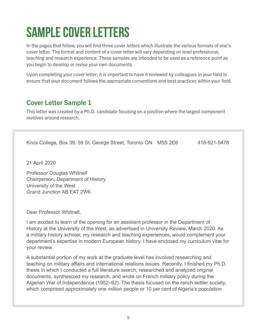### <span id="page-4-0"></span>**Sample Cover Letters**

In the pages that follow, you will find three cover letters which illustrate the various formats of one's cover letter. The format and content of a cover letter will vary depending on level professional, teaching and research experience. These samples are intended to be used as a reference point as you begin to develop or revise your own documents.

Upon completing your cover letter, it is important to have it reviewed by colleagues in your field to ensure that your document follows the appropriate conventions and best practices within your field.

### Cover Letter Sample 1

This letter was created by a Ph.D. candidate focusing on a position where the largest component revolves around research.

Knox College, Box 39, 59 St. George Street, Toronto ON M5S 2E6 416-921-5478

21 April 2020

Professor Douglas Whitnell Chairperson, Department of History University of the West Grand Junction AB E4T 2W6

Dear Professor Whitnell,

I am excited to learn of the opening for an assistant professor in the Department of History at the University of the West, as advertised in University Review, March 2020. As a military history scholar, my research and teaching experiences, would complement your department's expertise in modern European history. I have enclosed my curriculum vitæ for your review.

A substantial portion of my work at the graduate level has involved researching and teaching on military affairs and international relations issues. Recently, I finished my Ph.D. thesis in which I conducted a full literature search, researched and analyzed original documents, synthesized my research, and wrote on French military policy during the Algerian War of Independence (1952–62). The thesis focused on the ranch settler society, which comprised approximately one million people or 10 per cent of Algeria's population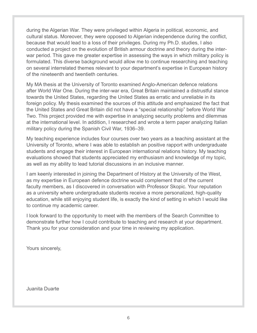during the Algerian War. They were privileged within Algeria in political, economic, and cultural status. Moreover, they were opposed to Algerian independence during the conflict, because that would lead to a loss of their privileges. During my Ph.D. studies, I also conducted a project on the evolution of British armour doctrine and theory during the interwar period. This gave me greater expertise in assessing the ways in which military policy is formulated. This diverse background would allow me to continue researching and teaching on several interrelated themes relevant to your department's expertise in European history of the nineteenth and twentieth centuries.

My MA thesis at the University of Toronto examined Anglo-American defence relations after World War One. During the inter-war era, Great Britain maintained a distrustful stance towards the United States, regarding the United States as erratic and unreliable in its foreign policy. My thesis examined the sources of this attitude and emphasized the fact that the United States and Great Britain did not have a "special relationship" before World War Two. This project provided me with expertise in analyzing security problems and dilemmas at the international level. In addition, I researched and wrote a term paper analyzing Italian military policy during the Spanish Civil War, 1936–39.

My teaching experience includes four courses over two years as a teaching assistant at the University of Toronto, where I was able to establish an positive rapport with undergraduate students and engage their interest in European international relations history. My teaching evaluations showed that students appreciated my enthusiasm and knowledge of my topic, as well as my ability to lead tutorial discussions in an inclusive manner.

I am keenly interested in joining the Department of History at the University of the West, as my expertise in European defence doctrine would complement that of the current faculty members, as I discovered in conversation with Professor Skopic. Your reputation as a university where undergraduate students receive a more personalized, high-quality education, while still enjoying student life, is exactly the kind of setting in which I would like to continue my academic career.

I look forward to the opportunity to meet with the members of the Search Committee to demonstrate further how I could contribute to teaching and research at your department. Thank you for your consideration and your time in reviewing my application.

Yours sincerely,

Juanita Duarte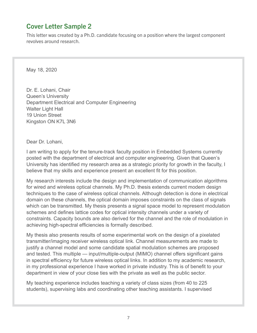### <span id="page-6-0"></span>Cover Letter Sample 2

This letter was created by a Ph.D. candidate focusing on a position where the largest component revolves around research.

May 18, 2020

Dr. E. Lohani, Chair Queen's University Department Electrical and Computer Engineering Walter Light Hall 19 Union Street Kingston ON K7L 3N6

Dear Dr. Lohani,

I am writing to apply for the tenure-track faculty position in Embedded Systems currently posted with the department of electrical and computer engineering. Given that Queen's University has identified my research area as a strategic priority for growth in the faculty, I believe that my skills and experience present an excellent fit for this position.

My research interests include the design and implementation of communication algorithms for wired and wireless optical channels. My Ph.D. thesis extends current modem design techniques to the case of wireless optical channels. Although detection is done in electrical domain on these channels, the optical domain imposes constraints on the class of signals which can be transmitted. My thesis presents a signal space model to represent modulation schemes and defines lattice codes for optical intensity channels under a variety of constraints. Capacity bounds are also derived for the channel and the role of modulation in achieving high-spectral efficiencies is formally described.

My thesis also presents results of some experimental work on the design of a pixelated transmitter/imaging receiver wireless optical link. Channel measurements are made to justify a channel model and some candidate spatial modulation schemes are proposed and tested. This multiple — input/multiple-output (MIMO) channel offers significant gains in spectral efficiency for future wireless optical links. In addition to my academic research, in my professional experience I have worked in private industry. This is of benefit to your department in view of your close ties with the private as well as the public sector.

My teaching experience includes teaching a variety of class sizes (from 40 to 225 students), supervising labs and coordinating other teaching assistants. I supervised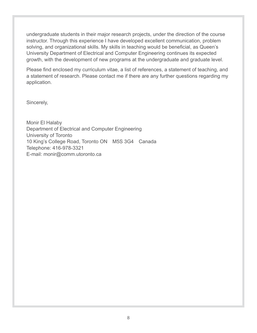undergraduate students in their major research projects, under the direction of the course instructor. Through this experience I have developed excellent communication, problem solving, and organizational skills. My skills in teaching would be beneficial, as Queen's University Department of Electrical and Computer Engineering continues its expected growth, with the development of new programs at the undergraduate and graduate level.

Please find enclosed my curriculum vitae, a list of references, a statement of teaching, and a statement of research. Please contact me if there are any further questions regarding my application.

Sincerely,

Monir El Halaby Department of Electrical and Computer Engineering University of Toronto 10 King's College Road, Toronto ON M5S 3G4 Canada Telephone: 416-978-3321 E-mail: monir@comm.utoronto.ca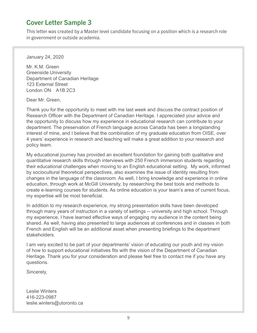#### <span id="page-8-0"></span>Cover Letter Sample 3

This letter was created by a Master level candidate focusing on a position which is a research role in government or outside academia.

January 24, 2020

Mr. K.M. Green Greenside University Department of Canadian Heritage 123 External Street London ON A1B 2C3

Dear Mr. Green,

Thank you for the opportunity to meet with me last week and discuss the contract position of Research Officer with the Department of Canadian Heritage. I appreciated your advice and the opportunity to discuss how my experience in educational research can contribute to your department. The preservation of French language across Canada has been a longstanding interest of mine, and I believe that the combination of my graduate education from OISE, over 4 years' experience in research and teaching will make a great addition to your research and policy team.

My educational journey has provided an excellent foundation for gaining both qualitative and quantitative research skills through interviews with 250 French immersion students regarding their educational challenges when moving to an English educational setting. My work, informed by sociocultural theoretical perspectives, also examines the issue of identity resulting from changes in the language of the classroom. As well, I bring knowledge and experience in online education, through work at McGill University, by researching the best tools and methods to create e-learning courses for students. As online education is your team's area of current focus, my expertise will be most beneficial.

In addition to my research experience, my strong presentation skills have been developed through many years of instruction in a variety of settings -- university and high school. Through my experience, I have learned effective ways of engaging my audience in the content being shared. As well, having also presented to large audiences at conferences and in classes in both French and English will be an additional asset when presenting briefings to the department stakeholders.

I am very excited to be part of your departments' vision of educating our youth and my vision of how to support educational initiatives fits with the vision of the Department of Canadian Heritage. Thank you for your consideration and please feel free to contact me if you have any questions.

Sincerely,

Leslie Winters 416-223-0987 leslie.winters@utoronto.ca